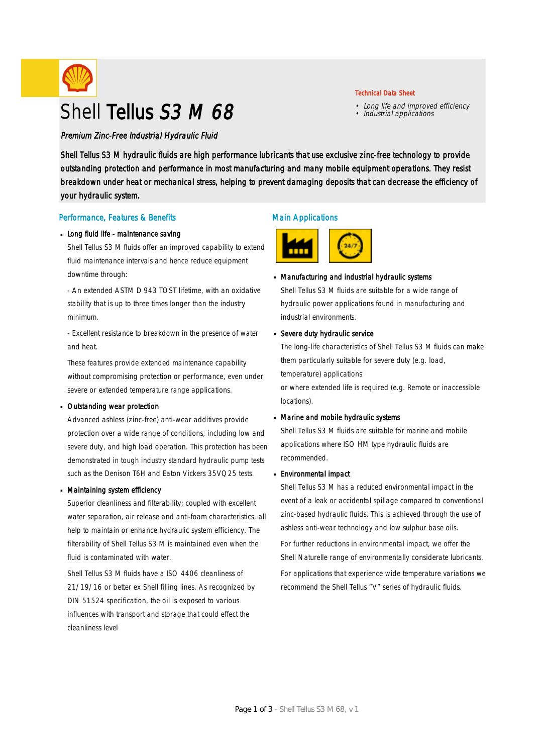

# Shell Tellus S3 M 68

Premium Zinc-Free Industrial Hydraulic Fluid

Shell Tellus S3 M hydraulic fluids are high performance lubricants that use exclusive zinc-free technology to provide outstanding protection and performance in most manufacturing and many mobile equipment operations. They resist breakdown under heat or mechanical stress, helping to prevent damaging deposits that can decrease the efficiency of your hydraulic system.

### Performance, Features & Benefits

### Long fluid life - maintenance saving

Shell Tellus S3 M fluids offer an improved capability to extend fluid maintenance intervals and hence reduce equipment downtime through:

- An extended ASTM D 943 TOST lifetime, with an oxidative stability that is up to three times longer than the industry minimum.

- Excellent resistance to breakdown in the presence of water and heat.

These features provide extended maintenance capability without compromising protection or performance, even under severe or extended temperature range applications.

### Outstanding wear protection ·

Advanced ashless (zinc-free) anti-wear additives provide protection over a wide range of conditions, including low and severe duty, and high load operation. This protection has been demonstrated in tough industry standard hydraulic pump tests such as the Denison T6H and Eaton Vickers 35VQ25 tests.

### Maintaining system efficiency ·

Superior cleanliness and filterability; coupled with excellent water separation, air release and anti-foam characteristics, all help to maintain or enhance hydraulic system efficiency. The filterability of Shell Tellus S3 M is maintained even when the fluid is contaminated with water.

Shell Tellus S3 M fluids have a ISO 4406 cleanliness of 21/19/16 or better ex Shell filling lines. As recognized by DIN 51524 specification, the oil is exposed to various influences with transport and storage that could effect the cleanliness level

## Main Applications



## Manufacturing and industrial hydraulic systems ·

Shell Tellus S3 M fluids are suitable for a wide range of hydraulic power applications found in manufacturing and industrial environments.

#### Severe duty hydraulic service ·

The long-life characteristics of Shell Tellus S3 M fluids can make them particularly suitable for severe duty (e.g. load, temperature) applications or where extended life is required (e.g. Remote or inaccessible

locations).

## Marine and mobile hydraulic systems ·

Shell Tellus S3 M fluids are suitable for marine and mobile applications where ISO HM type hydraulic fluids are recommended.

#### Environmental impact ·

Shell Tellus S3 M has a reduced environmental impact in the event of a leak or accidental spillage compared to conventional zinc-based hydraulic fluids. This is achieved through the use of ashless anti-wear technology and low sulphur base oils.

For further reductions in environmental impact, we offer the Shell Naturelle range of environmentally considerate lubricants.

For applications that experience wide temperature variations we recommend the Shell Tellus "V" series of hydraulic fluids.

## Technical Data Sheet

- Long life and improved efficiency Industrial applications
-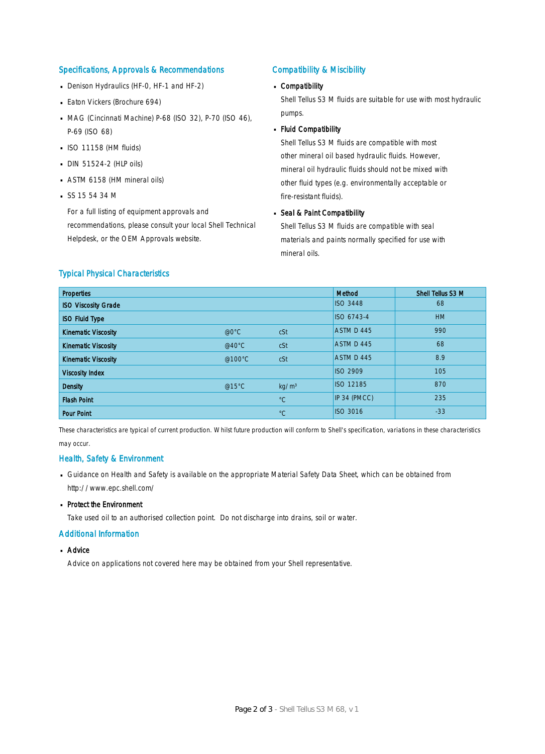## Specifications, Approvals & Recommendations

- Denison Hydraulics (HF-0, HF-1 and HF-2)
- **Eaton Vickers (Brochure 694)**
- MAG (Cincinnati Machine) P-68 (ISO 32), P-70 (ISO 46), P-69 (ISO 68)
- $\blacksquare$  ISO 11158 (HM fluids)
- $\Box$  DIN 51524-2 (HLP oils)
- ASTM 6158 (HM mineral oils) ·
- $S$ SS 15 54 34 M

For a full listing of equipment approvals and recommendations, please consult your local Shell Technical Helpdesk, or the OEM Approvals website.

## Compatibility & Miscibility

## Compatibility ·

Shell Tellus S3 M fluids are suitable for use with most hydraulic pumps.

## Fluid Compatibility ·

Shell Tellus S3 M fluids are compatible with most other mineral oil based hydraulic fluids. However, mineral oil hydraulic fluids should not be mixed with other fluid types (e.g. environmentally acceptable or fire-resistant fluids).

## Seal & Paint Compatibility

Shell Tellus S3 M fluids are compatible with seal materials and paints normally specified for use with mineral oils.

## Typical Physical Characteristics

| <b>Properties</b>          |                  |                   | <b>Method</b>    | Shell Tellus S3 M |
|----------------------------|------------------|-------------------|------------------|-------------------|
| <b>ISO Viscosity Grade</b> |                  |                   | <b>ISO 3448</b>  | 68                |
| <b>ISO Fluid Type</b>      |                  |                   | ISO 6743-4       | <b>HM</b>         |
| <b>Kinematic Viscosity</b> | @0°C             | cSt               | ASTM D 445       | 990               |
| <b>Kinematic Viscosity</b> | @40 $^{\circ}$ C | cSt               | ASTM D 445       | 68                |
| <b>Kinematic Viscosity</b> | @100°C           | cSt               | ASTM D 445       | 8.9               |
| <b>Viscosity Index</b>     |                  |                   | <b>ISO 2909</b>  | 105               |
| <b>Density</b>             | @15°C            | kg/m <sup>3</sup> | <b>ISO 12185</b> | 870               |
| <b>Flash Point</b>         |                  | $^{\circ}C$       | IP 34 (PMCC)     | 235               |
| <b>Pour Point</b>          |                  | $^{\circ}C$       | <b>ISO 3016</b>  | $-33$             |

These characteristics are typical of current production. Whilst future production will conform to Shell's specification, variations in these characteristics may occur.

### Health, Safety & Environment

- Guidance on Health and Safety is available on the appropriate Material Safety Data Sheet, which can be obtained from http://www.epc.shell.com/
- Protect the Environment

Take used oil to an authorised collection point. Do not discharge into drains, soil or water.

### Additional Information

■ Advice

Advice on applications not covered here may be obtained from your Shell representative.